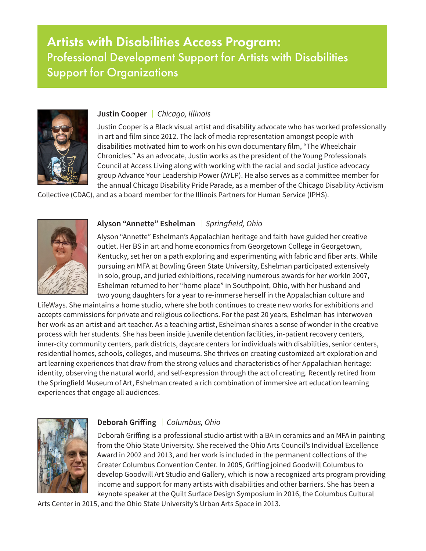# Artists with Disabilities Access Program: Professional Development Support for Artists with Disabilities Support for Organizations



### **Justin Cooper** |*Chicago, Illinois*

Justin Cooper is a Black visual artist and disability advocate who has worked professionally in art and film since 2012. The lack of media representation amongst people with disabilities motivated him to work on his own documentary film, "The Wheelchair Chronicles." As an advocate, Justin works as the president of the Young Professionals Council at Access Living along with working with the racial and social justice advocacy group Advance Your Leadership Power (AYLP). He also serves as a committee member for the annual Chicago Disability Pride Parade, as a member of the Chicago Disability Activism

Collective (CDAC), and as a board member for the Illinois Partners for Human Service (IPHS).



#### **Alyson "Annette" Eshelman** |*Springfield, Ohio*

Alyson "Annette" Eshelman's Appalachian heritage and faith have guided her creative outlet. Her BS in art and home economics from Georgetown College in Georgetown, Kentucky, set her on a path exploring and experimenting with fabric and fiber arts. While pursuing an MFA at Bowling Green State University, Eshelman participated extensively in solo, group, and juried exhibitions, receiving numerous awards for her workIn 2007, Eshelman returned to her "home place" in Southpoint, Ohio, with her husband and two young daughters for a year to re-immerse herself in the Appalachian culture and

LifeWays. She maintains a home studio, where she both continues to create new works for exhibitions and accepts commissions for private and religious collections. For the past 20 years, Eshelman has interwoven her work as an artist and art teacher. As a teaching artist, Eshelman shares a sense of wonder in the creative process with her students. She has been inside juvenile detention facilities, in-patient recovery centers, inner-city community centers, park districts, daycare centers for individuals with disabilities, senior centers, residential homes, schools, colleges, and museums. She thrives on creating customized art exploration and art learning experiences that draw from the strong values and characteristics of her Appalachian heritage: identity, observing the natural world, and self-expression through the act of creating. Recently retired from the Springfield Museum of Art, Eshelman created a rich combination of immersive art education learning experiences that engage all audiences.



## **Deborah Griffing** |*Columbus, Ohio*

Deborah Griffing is a professional studio artist with a BA in ceramics and an MFA in painting from the Ohio State University. She received the Ohio Arts Council's Individual Excellence Award in 2002 and 2013, and her work is included in the permanent collections of the Greater Columbus Convention Center. In 2005, Griffing joined Goodwill Columbus to develop Goodwill Art Studio and Gallery, which is now a recognized arts program providing income and support for many artists with disabilities and other barriers. She has been a keynote speaker at the Quilt Surface Design Symposium in 2016, the Columbus Cultural

Arts Center in 2015, and the Ohio State University's Urban Arts Space in 2013.